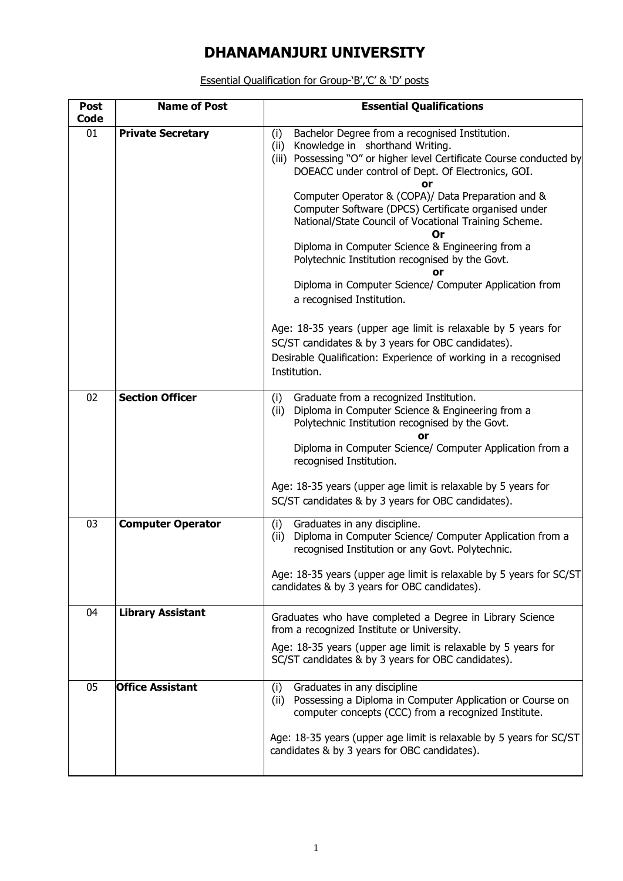## **DHANAMANJURI UNIVERSITY**

Essential Qualification for Group-'B','C' & 'D' posts

| <b>Post</b><br>Code | <b>Name of Post</b>      | <b>Essential Qualifications</b>                                                                                                                                                                                                         |  |  |  |  |  |  |
|---------------------|--------------------------|-----------------------------------------------------------------------------------------------------------------------------------------------------------------------------------------------------------------------------------------|--|--|--|--|--|--|
| 01                  | <b>Private Secretary</b> | Bachelor Degree from a recognised Institution.<br>(i)<br>Knowledge in shorthand Writing.<br>(ii)<br>Possessing "O" or higher level Certificate Course conducted by<br>(iii)<br>DOEACC under control of Dept. Of Electronics, GOI.<br>or |  |  |  |  |  |  |
|                     |                          | Computer Operator & (COPA)/ Data Preparation and &<br>Computer Software (DPCS) Certificate organised under<br>National/State Council of Vocational Training Scheme.<br><b>Or</b>                                                        |  |  |  |  |  |  |
|                     |                          | Diploma in Computer Science & Engineering from a<br>Polytechnic Institution recognised by the Govt.<br>or                                                                                                                               |  |  |  |  |  |  |
|                     |                          | Diploma in Computer Science/ Computer Application from<br>a recognised Institution.                                                                                                                                                     |  |  |  |  |  |  |
|                     |                          | Age: 18-35 years (upper age limit is relaxable by 5 years for<br>SC/ST candidates & by 3 years for OBC candidates).<br>Desirable Qualification: Experience of working in a recognised<br>Institution.                                   |  |  |  |  |  |  |
| 02                  | <b>Section Officer</b>   | Graduate from a recognized Institution.<br>(i)<br>Diploma in Computer Science & Engineering from a<br>(ii)<br>Polytechnic Institution recognised by the Govt.<br>or                                                                     |  |  |  |  |  |  |
|                     |                          | Diploma in Computer Science/ Computer Application from a<br>recognised Institution.                                                                                                                                                     |  |  |  |  |  |  |
|                     |                          | Age: 18-35 years (upper age limit is relaxable by 5 years for<br>SC/ST candidates & by 3 years for OBC candidates).                                                                                                                     |  |  |  |  |  |  |
| 03                  | <b>Computer Operator</b> | Graduates in any discipline.<br>(i)<br>(ii)<br>Diploma in Computer Science/ Computer Application from a<br>recognised Institution or any Govt. Polytechnic.                                                                             |  |  |  |  |  |  |
|                     |                          | Age: 18-35 years (upper age limit is relaxable by 5 years for SC/ST<br>candidates & by 3 years for OBC candidates).                                                                                                                     |  |  |  |  |  |  |
| 04                  | <b>Library Assistant</b> | Graduates who have completed a Degree in Library Science<br>from a recognized Institute or University.                                                                                                                                  |  |  |  |  |  |  |
|                     |                          | Age: 18-35 years (upper age limit is relaxable by 5 years for<br>SC/ST candidates & by 3 years for OBC candidates).                                                                                                                     |  |  |  |  |  |  |
| 05                  | <b>Office Assistant</b>  | Graduates in any discipline<br>(i)<br>(ii)<br>Possessing a Diploma in Computer Application or Course on<br>computer concepts (CCC) from a recognized Institute.                                                                         |  |  |  |  |  |  |
|                     |                          | Age: 18-35 years (upper age limit is relaxable by 5 years for SC/ST<br>candidates & by 3 years for OBC candidates).                                                                                                                     |  |  |  |  |  |  |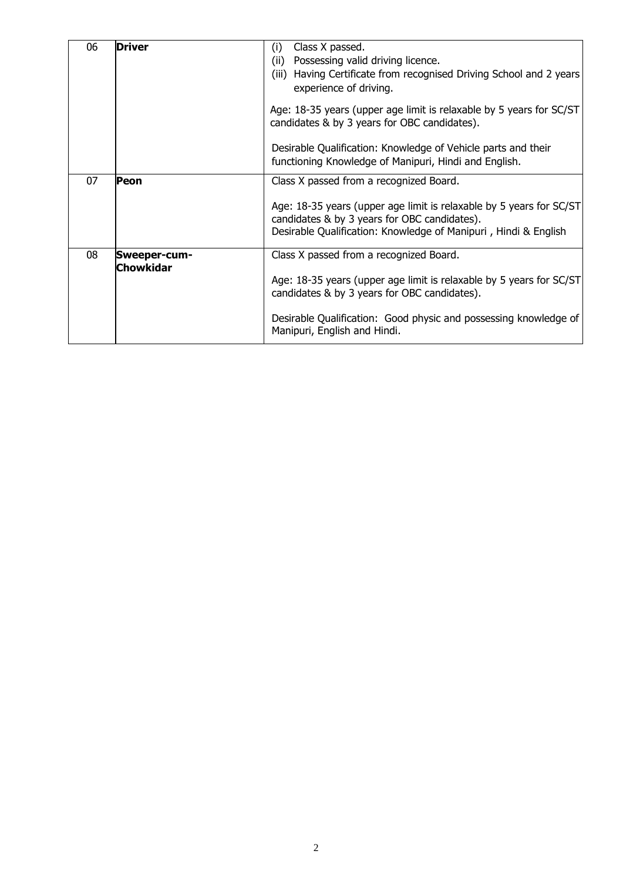| 06 | Driver           | Class X passed.<br>(i)<br>Possessing valid driving licence.<br>(ii)<br>(iii) Having Certificate from recognised Driving School and 2 years<br>experience of driving.<br>Age: 18-35 years (upper age limit is relaxable by 5 years for SC/ST<br>candidates & by 3 years for OBC candidates). |  |  |  |  |
|----|------------------|---------------------------------------------------------------------------------------------------------------------------------------------------------------------------------------------------------------------------------------------------------------------------------------------|--|--|--|--|
|    |                  | Desirable Qualification: Knowledge of Vehicle parts and their<br>functioning Knowledge of Manipuri, Hindi and English.                                                                                                                                                                      |  |  |  |  |
| 07 | Peon             | Class X passed from a recognized Board.                                                                                                                                                                                                                                                     |  |  |  |  |
|    |                  | Age: 18-35 years (upper age limit is relaxable by 5 years for SC/ST<br>candidates & by 3 years for OBC candidates).<br>Desirable Qualification: Knowledge of Manipuri, Hindi & English                                                                                                      |  |  |  |  |
| 08 | Sweeper-cum-     | Class X passed from a recognized Board.                                                                                                                                                                                                                                                     |  |  |  |  |
|    | <b>Chowkidar</b> | Age: 18-35 years (upper age limit is relaxable by 5 years for SC/ST<br>candidates & by 3 years for OBC candidates).                                                                                                                                                                         |  |  |  |  |
|    |                  | Desirable Qualification: Good physic and possessing knowledge of<br>Manipuri, English and Hindi.                                                                                                                                                                                            |  |  |  |  |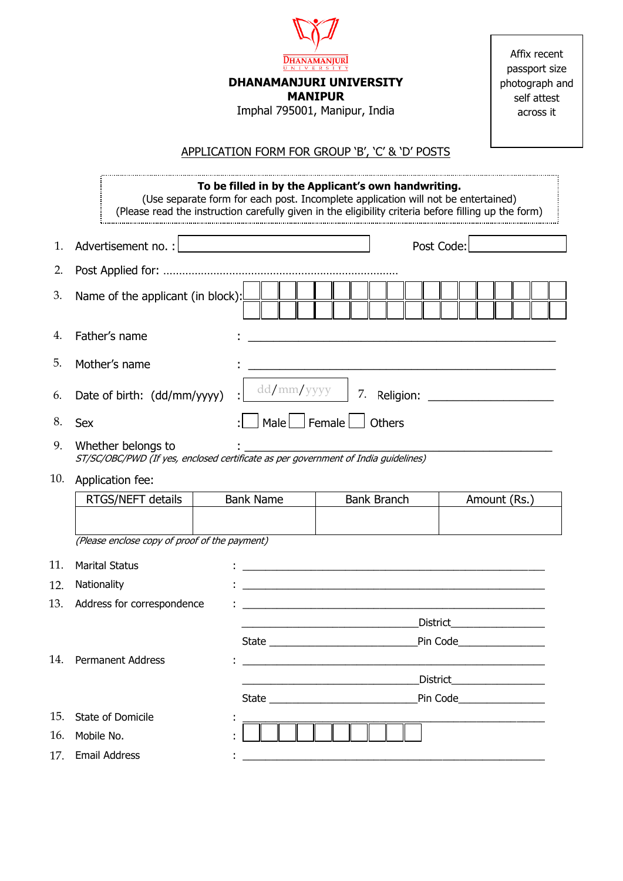|     | $\underbrace{\textbf{DHANAMANJUR}}_{\textbf{U-NIVERSITY}}$<br><b>DHANAMANJURI UNIVERSITY</b><br><b>MANIPUR</b><br>Imphal 795001, Manipur, India                                                                                                  |                                                                                                                      |                    |        |            |                              |  |  |  |
|-----|--------------------------------------------------------------------------------------------------------------------------------------------------------------------------------------------------------------------------------------------------|----------------------------------------------------------------------------------------------------------------------|--------------------|--------|------------|------------------------------|--|--|--|
|     | APPLICATION FORM FOR GROUP 'B', 'C' & 'D' POSTS                                                                                                                                                                                                  |                                                                                                                      |                    |        |            |                              |  |  |  |
|     | To be filled in by the Applicant's own handwriting.<br>(Use separate form for each post. Incomplete application will not be entertained)<br>(Please read the instruction carefully given in the eligibility criteria before filling up the form) |                                                                                                                      |                    |        |            |                              |  |  |  |
| 1.  | Advertisement no. :                                                                                                                                                                                                                              | <u> 1989 - John Stein, amerikansk politiker (</u>                                                                    |                    |        | Post Code: |                              |  |  |  |
| 2.  |                                                                                                                                                                                                                                                  |                                                                                                                      |                    |        |            |                              |  |  |  |
| 3.  | Name of the applicant (in block):                                                                                                                                                                                                                |                                                                                                                      |                    |        |            |                              |  |  |  |
| 4.  | Father's name                                                                                                                                                                                                                                    |                                                                                                                      |                    |        |            |                              |  |  |  |
| 5.  | Mother's name                                                                                                                                                                                                                                    |                                                                                                                      |                    |        |            |                              |  |  |  |
| 6.  | $dd/mm/$ yyyy<br>7.<br>Date of birth: (dd/mm/yyyy)                                                                                                                                                                                               |                                                                                                                      |                    |        |            |                              |  |  |  |
| 8.  | <b>Sex</b>                                                                                                                                                                                                                                       | Male Female                                                                                                          |                    | Others |            |                              |  |  |  |
| 9.  | Whether belongs to<br>ST/SC/OBC/PWD (If yes, enclosed certificate as per government of India guidelines)                                                                                                                                         |                                                                                                                      |                    |        |            |                              |  |  |  |
| 10. | Application fee:                                                                                                                                                                                                                                 |                                                                                                                      |                    |        |            |                              |  |  |  |
|     | RTGS/NEFT details                                                                                                                                                                                                                                | <b>Bank Name</b>                                                                                                     | <b>Bank Branch</b> |        |            | Amount (Rs.)                 |  |  |  |
|     |                                                                                                                                                                                                                                                  |                                                                                                                      |                    |        |            |                              |  |  |  |
|     | (Please enclose copy of proof of the payment)                                                                                                                                                                                                    |                                                                                                                      |                    |        |            |                              |  |  |  |
| 11. | <b>Marital Status</b>                                                                                                                                                                                                                            |                                                                                                                      |                    |        |            |                              |  |  |  |
| 12. | Nationality                                                                                                                                                                                                                                      | <u> 1980 - Jan Samuel Barbara, margaret e populari e populari e populari e populari e populari e populari e popu</u> |                    |        |            |                              |  |  |  |
| 13. | Address for correspondence                                                                                                                                                                                                                       |                                                                                                                      |                    |        |            |                              |  |  |  |
|     |                                                                                                                                                                                                                                                  |                                                                                                                      |                    |        |            | District___________________  |  |  |  |
| 14. | <b>Permanent Address</b>                                                                                                                                                                                                                         | <u> 1980 - Jan Barbara, martin da basar da basar da basar da basar da basar da basar da basar da basar da basar</u>  |                    |        |            |                              |  |  |  |
|     |                                                                                                                                                                                                                                                  |                                                                                                                      |                    |        |            | District____________________ |  |  |  |
|     |                                                                                                                                                                                                                                                  |                                                                                                                      |                    |        |            | Pin Code__________________   |  |  |  |
| 15. | State of Domicile                                                                                                                                                                                                                                |                                                                                                                      |                    |        |            |                              |  |  |  |
| 16. | Mobile No.                                                                                                                                                                                                                                       |                                                                                                                      |                    |        |            |                              |  |  |  |
| 17. | <b>Email Address</b>                                                                                                                                                                                                                             |                                                                                                                      |                    |        |            |                              |  |  |  |